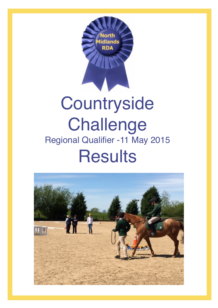

## **Countryside Challenge** Regional Qualifier -11 May 2015 **Results**

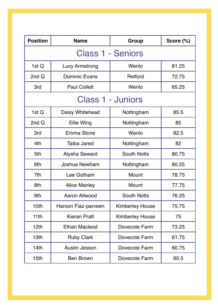| <b>Position</b>          | <b>Name</b>           | <b>Group</b>           | Score (%) |  |  |
|--------------------------|-----------------------|------------------------|-----------|--|--|
| <b>Class 1 - Seniors</b> |                       |                        |           |  |  |
| 1st $Q$                  | <b>Lucy Armstrong</b> | Wenlo                  | 81.25     |  |  |
| 2nd Q                    | <b>Dominic Evans</b>  | Retford                | 72.75     |  |  |
| 3rd                      | <b>Paul Collett</b>   | Wenlo                  | 65.25     |  |  |
| <b>Class 1 - Juniors</b> |                       |                        |           |  |  |
| 1st $Q$                  | Daisy Whitehead       | Nottingham             | 85.5      |  |  |
| 2nd Q                    | <b>Ellie Wing</b>     | Nottingham             | 85        |  |  |
| 3rd                      | Emma Stone            | Wenlo                  | 82.5      |  |  |
| 4th                      | <b>Taiba Jared</b>    | Nottingham             | 82        |  |  |
| 5th                      | <b>Alysha Seward</b>  | <b>South Notts</b>     | 80.75     |  |  |
| 6th                      | <b>Joshua Newham</b>  | Nottingham             | 80.25     |  |  |
| 7th                      | Lee Gotham            | <b>Mount</b>           | 78.75     |  |  |
| 8th                      | <b>Alice Manley</b>   | <b>Mount</b>           | 77.75     |  |  |
| 9th                      | <b>Aaron Allwood</b>  | <b>South Notts</b>     | 76.25     |  |  |
| 10th                     | Haroon Fiaz-parveen   | <b>Kimberley House</b> | 75.75     |  |  |
| 11 <sub>th</sub>         | <b>Kieran Pratt</b>   | <b>Kimberley House</b> | 75        |  |  |
| 12 <sub>th</sub>         | <b>Ethan Macleod</b>  | Dovecote Farm          | 73.25     |  |  |
| 13 <sub>th</sub>         | <b>Ruby Clark</b>     | Dovecote Farm          | 61.75     |  |  |
| 14 <sub>th</sub>         | Austin Jesson         | Dovecote Farm          | 60.75     |  |  |
| 15 <sub>th</sub>         | <b>Ben Brown</b>      | Dovecote Farm          | 60.5      |  |  |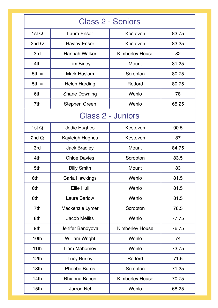| <b>Class 2 - Seniors</b> |                        |                        |       |  |  |
|--------------------------|------------------------|------------------------|-------|--|--|
| 1st $Q$                  | <b>Laura Ensor</b>     | Kesteven               | 83.75 |  |  |
| 2 $ndQ$                  | <b>Hayley Ensor</b>    | Kesteven               | 83.25 |  |  |
| 3rd                      | <b>Hannah Walker</b>   | <b>Kimberley House</b> | 82    |  |  |
| 4th                      | <b>Tim Birley</b>      | Mount                  | 81.25 |  |  |
| $5th =$                  | <b>Mark Haslam</b>     | Scropton               | 80.75 |  |  |
| $5th =$                  | <b>Helen Harding</b>   | Retford                | 80.75 |  |  |
| 6th                      | <b>Shane Downing</b>   | Wenlo                  | 78    |  |  |
| 7th                      | <b>Stephen Green</b>   | Wenlo                  | 65.25 |  |  |
| <b>Class 2 - Juniors</b> |                        |                        |       |  |  |
| 1st $Q$                  | Jodie Hughes           | Kesteven               | 90.5  |  |  |
| 2 $ndQ$                  | <b>Kayleigh Hughes</b> | Kesteven               | 87    |  |  |
| 3rd                      | <b>Jack Bradley</b>    | Mount                  | 84.75 |  |  |
| 4th                      | <b>Chloe Davies</b>    | Scropton               | 83.5  |  |  |
| 5th                      | <b>Billy Smith</b>     | Mount                  | 83    |  |  |
| $6th =$                  | Carla Hawkings         | Wenlo                  | 81.5  |  |  |
| $6th =$                  | <b>Ellie Hull</b>      | Wenlo                  | 81.5  |  |  |
| $6th =$                  | <b>Laura Barlow</b>    | Wenlo                  | 81.5  |  |  |
| 7th                      | Mackenzie Lymer        | Scropton               | 78.5  |  |  |
| 8th                      | <b>Jacob Mellits</b>   | Wenlo                  | 77.75 |  |  |
| 9th                      | Jenifer Bandyova       | <b>Kimberley House</b> | 76.75 |  |  |
| 10th                     | <b>William Wright</b>  | Wenlo                  | 74    |  |  |
| 11 <sub>th</sub>         | Liam Mahomey           | Wenlo                  | 73.75 |  |  |
| 12 <sub>th</sub>         | <b>Lucy Burley</b>     | Retford                | 71.5  |  |  |
| 13 <sub>th</sub>         | <b>Phoebe Burns</b>    | Scropton               | 71.25 |  |  |
| 14 <sub>th</sub>         | Rhianna Bacon          | <b>Kimberley House</b> | 70.75 |  |  |
| 15 <sub>th</sub>         | <b>Jarrod Nel</b>      | Wenlo                  | 68.25 |  |  |